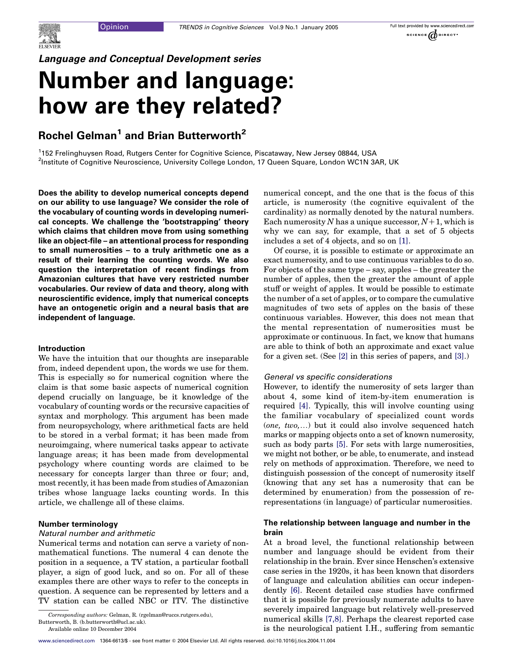# Language and Conceptual Development series

# Number and language: how are they related?

# Rochel Gelman<sup>1</sup> and Brian Butterworth<sup>2</sup>

1 152 Frelinghuysen Road, Rutgers Center for Cognitive Science, Piscataway, New Jersey 08844, USA <sup>2</sup>Institute of Cognitive Neuroscience, University College London, 17 Queen Square, London WC1N 3AR, UK

Does the ability to develop numerical concepts depend on our ability to use language? We consider the role of the vocabulary of counting words in developing numerical concepts. We challenge the 'bootstrapping' theory which claims that children move from using something like an object-file – an attentional process for responding to small numerosities – to a truly arithmetic one as a result of their learning the counting words. We also question the interpretation of recent findings from Amazonian cultures that have very restricted number vocabularies. Our review of data and theory, along with neuroscientific evidence, imply that numerical concepts have an ontogenetic origin and a neural basis that are independent of language.

#### Introduction

We have the intuition that our thoughts are inseparable from, indeed dependent upon, the words we use for them. This is especially so for numerical cognition where the claim is that some basic aspects of numerical cognition depend crucially on language, be it knowledge of the vocabulary of counting words or the recursive capacities of syntax and morphology. This argument has been made from neuropsychology, where arithmetical facts are held to be stored in a verbal format; it has been made from neuroimgaing, where numerical tasks appear to activate language areas; it has been made from developmental psychology where counting words are claimed to be necessary for concepts larger than three or four; and, most recently, it has been made from studies of Amazonian tribes whose language lacks counting words. In this article, we challenge all of these claims.

# Number terminology

#### Natural number and arithmetic

Numerical terms and notation can serve a variety of nonmathematical functions. The numeral 4 can denote the position in a sequence, a TV station, a particular football player, a sign of good luck, and so on. For all of these examples there are other ways to refer to the concepts in question. A sequence can be represented by letters and a TV station can be called NBC or ITV. The distinctive

Butterworth, B. (b.butterworth@ucl.ac.uk).

numerical concept, and the one that is the focus of this article, is numerosity (the cognitive equivalent of the cardinality) as normally denoted by the natural numbers. Each numerosity N has a unique successor,  $N+1$ , which is why we can say, for example, that a set of 5 objects includes a set of 4 objects, and so on [\[1\].](#page-4-0)

Of course, it is possible to estimate or approximate an exact numerosity, and to use continuous variables to do so. For objects of the same type – say, apples – the greater the number of apples, then the greater the amount of apple stuff or weight of apples. It would be possible to estimate the number of a set of apples, or to compare the cumulative magnitudes of two sets of apples on the basis of these continuous variables. However, this does not mean that the mental representation of numerosities must be approximate or continuous. In fact, we know that humans are able to think of both an approximate and exact value for a given set. (See [\[2\]](#page-4-0) in this series of papers, and [\[3\]](#page-4-0).)

#### General vs specific considerations

However, to identify the numerosity of sets larger than about 4, some kind of item-by-item enumeration is required [\[4\]](#page-4-0). Typically, this will involve counting using the familiar vocabulary of specialized count words (one, two,.) but it could also involve sequenced hatch marks or mapping objects onto a set of known numerosity, such as body parts [\[5\].](#page-4-0) For sets with large numerosities, we might not bother, or be able, to enumerate, and instead rely on methods of approximation. Therefore, we need to distinguish possession of the concept of numerosity itself (knowing that any set has a numerosity that can be determined by enumeration) from the possession of rerepresentations (in language) of particular numerosities.

# The relationship between language and number in the brain

At a broad level, the functional relationship between number and language should be evident from their relationship in the brain. Ever since Henschen's extensive case series in the 1920s, it has been known that disorders of language and calculation abilities can occur independently [\[6\]](#page-4-0). Recent detailed case studies have confirmed that it is possible for previously numerate adults to have severely impaired language but relatively well-preserved numerical skills [\[7,8\].](#page-4-0) Perhaps the clearest reported case is the neurological patient I.H., suffering from semantic

Corresponding authors: Gelman, R. (rgelman@ruccs.rutgers.edu),

Available online 10 December 2004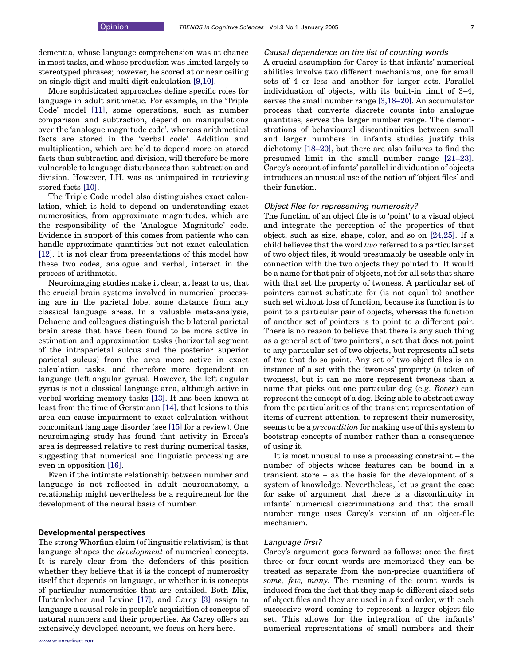dementia, whose language comprehension was at chance in most tasks, and whose production was limited largely to stereotyped phrases; however, he scored at or near ceiling on single digit and multi-digit calculation [\[9,10\]](#page-4-0).

More sophisticated approaches define specific roles for language in adult arithmetic. For example, in the 'Triple Code' model [\[11\],](#page-4-0) some operations, such as number comparison and subtraction, depend on manipulations over the 'analogue magnitude code', whereas arithmetical facts are stored in the 'verbal code'. Addition and multiplication, which are held to depend more on stored facts than subtraction and division, will therefore be more vulnerable to language disturbances than subtraction and division. However, I.H. was as unimpaired in retrieving stored facts [\[10\].](#page-4-0)

The Triple Code model also distinguishes exact calculation, which is held to depend on understanding exact numerosities, from approximate magnitudes, which are the responsibility of the 'Analogue Magnitude' code. Evidence in support of this comes from patients who can handle approximate quantities but not exact calculation [\[12\].](#page-4-0) It is not clear from presentations of this model how these two codes, analogue and verbal, interact in the process of arithmetic.

Neuroimaging studies make it clear, at least to us, that the crucial brain systems involved in numerical processing are in the parietal lobe, some distance from any classical language areas. In a valuable meta-analysis, Dehaene and colleagues distinguish the bilateral parietal brain areas that have been found to be more active in estimation and approximation tasks (horizontal segment of the intraparietal sulcus and the posterior superior parietal sulcus) from the area more active in exact calculation tasks, and therefore more dependent on language (left angular gyrus). However, the left angular gyrus is not a classical language area, although active in verbal working-memory tasks [\[13\]](#page-4-0). It has been known at least from the time of Gerstmann [\[14\],](#page-4-0) that lesions to this area can cause impairment to exact calculation without concomitant language disorder (see [\[15\]](#page-4-0) for a review). One neuroimaging study has found that activity in Broca's area is depressed relative to rest during numerical tasks, suggesting that numerical and linguistic processing are even in opposition [\[16\]](#page-4-0).

Even if the intimate relationship between number and language is not reflected in adult neuroanatomy, a relationship might nevertheless be a requirement for the development of the neural basis of number.

#### Developmental perspectives

The strong Whorfian claim (of lingusitic relativism) is that language shapes the development of numerical concepts. It is rarely clear from the defenders of this position whether they believe that it is the concept of numerosity itself that depends on language, or whether it is concepts of particular numerosities that are entailed. Both Mix, Huttenlocher and Levine [\[17\],](#page-4-0) and Carey [\[3\]](#page-4-0) assign to language a causal role in people's acquisition of concepts of natural numbers and their properties. As Carey offers an extensively developed account, we focus on hers here.

## Causal dependence on the list of counting words

A crucial assumption for Carey is that infants' numerical abilities involve two different mechanisms, one for small sets of 4 or less and another for larger sets. Parallel individuation of objects, with its built-in limit of 3–4, serves the small number range [\[3,18–20\].](#page-4-0) An accumulator process that converts discrete counts into analogue quantities, serves the larger number range. The demonstrations of behavioural discontinuities between small and larger numbers in infants studies justify this dichotomy [\[18–20\]](#page-4-0), but there are also failures to find the presumed limit in the small number range [\[21–23\]](#page-4-0). Carey's account of infants' parallel individuation of objects introduces an unusual use of the notion of 'object files' and their function.

#### Object files for representing numerosity?

The function of an object file is to 'point' to a visual object and integrate the perception of the properties of that object, such as size, shape, color, and so on [\[24,25\]](#page-4-0). If a child believes that the word two referred to a particular set of two object files, it would presumably be useable only in connection with the two objects they pointed to. It would be a name for that pair of objects, not for all sets that share with that set the property of twoness. A particular set of pointers cannot substitute for (is not equal to) another such set without loss of function, because its function is to point to a particular pair of objects, whereas the function of another set of pointers is to point to a different pair. There is no reason to believe that there is any such thing as a general set of 'two pointers', a set that does not point to any particular set of two objects, but represents all sets of two that do so point. Any set of two object files is an instance of a set with the 'twoness' property (a token of twoness), but it can no more represent twoness than a name that picks out one particular dog (e.g. Rover) can represent the concept of a dog. Being able to abstract away from the particularities of the transient representation of items of current attention, to represent their numerosity, seems to be a precondition for making use of this system to bootstrap concepts of number rather than a consequence of using it.

It is most unusual to use a processing constraint – the number of objects whose features can be bound in a transient store – as the basis for the development of a system of knowledge. Nevertheless, let us grant the case for sake of argument that there is a discontinuity in infants' numerical discriminations and that the small number range uses Carey's version of an object-file mechanism.

#### Language first?

Carey's argument goes forward as follows: once the first three or four count words are memorized they can be treated as separate from the non-precise quantifiers of some, few, many. The meaning of the count words is induced from the fact that they map to different sized sets of object files and they are used in a fixed order, with each successive word coming to represent a larger object-file set. This allows for the integration of the infants' numerical representations of small numbers and their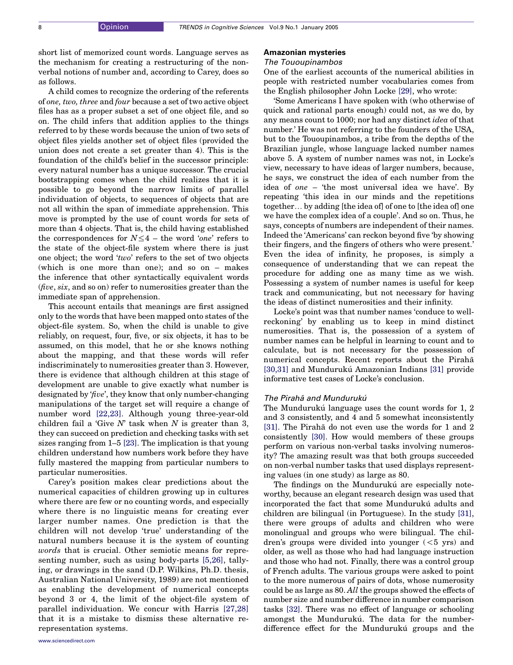short list of memorized count words. Language serves as the mechanism for creating a restructuring of the nonverbal notions of number and, according to Carey, does so as follows.

A child comes to recognize the ordering of the referents of one, two, three and four because a set of two active object files has as a proper subset a set of one object file, and so on. The child infers that addition applies to the things referred to by these words because the union of two sets of object files yields another set of object files (provided the union does not create a set greater than 4). This is the foundation of the child's belief in the successor principle: every natural number has a unique successor. The crucial bootstrapping comes when the child realizes that it is possible to go beyond the narrow limits of parallel individuation of objects, to sequences of objects that are not all within the span of immediate apprehension. This move is prompted by the use of count words for sets of more than 4 objects. That is, the child having established the correspondences for  $N \leq 4$  – the word 'one' refers to the state of the object-file system where there is just one object; the word 'two' refers to the set of two objects (which is one more than one); and so on – makes the inference that other syntactically equivalent words  $(five, six, and so on)$  refer to numerosities greater than the immediate span of apprehension.

This account entails that meanings are first assigned only to the words that have been mapped onto states of the object-file system. So, when the child is unable to give reliably, on request, four, five, or six objects, it has to be assumed, on this model, that he or she knows nothing about the mapping, and that these words will refer indiscriminately to numerosities greater than 3. However, there is evidence that although children at this stage of development are unable to give exactly what number is designated by 'five', they know that only number-changing manipulations of the target set will require a change of number word [\[22,23\]](#page-4-0). Although young three-year-old children fail a 'Give  $N$ ' task when  $N$  is greater than 3, they can succeed on prediction and checking tasks with set sizes ranging from 1–5 [\[23\].](#page-4-0) The implication is that young children understand how numbers work before they have fully mastered the mapping from particular numbers to particular numerosities.

Carey's position makes clear predictions about the numerical capacities of children growing up in cultures where there are few or no counting words, and especially where there is no linguistic means for creating ever larger number names. One prediction is that the children will not develop 'true' understanding of the natural numbers because it is the system of counting words that is crucial. Other semiotic means for representing number, such as using body-parts [\[5,26\],](#page-4-0) tallying, or drawings in the sand (D.P. Wilkins, Ph.D. thesis, Australian National University, 1989) are not mentioned as enabling the development of numerical concepts beyond 3 or 4, the limit of the object-file system of parallel individuation. We concur with Harris [\[27,28\]](#page-4-0) that it is a mistake to dismiss these alternative rerepresentation systems.

#### Amazonian mysteries

# The Tououpinambos

One of the earliest accounts of the numerical abilities in people with restricted number vocabularies comes from the English philosopher John Locke [\[29\]](#page-4-0), who wrote:

'Some Americans I have spoken with (who otherwise of quick and rational parts enough) could not, as we do, by any means count to 1000; nor had any distinct idea of that number.' He was not referring to the founders of the USA, but to the Tououpinambos, a tribe from the depths of the Brazilian jungle, whose language lacked number names above 5. A system of number names was not, in Locke's view, necessary to have ideas of larger numbers, because, he says, we construct the idea of each number from the idea of one – 'the most universal idea we have'. By repeating 'this idea in our minds and the repetitions together. by adding [the idea of] of one to [the idea of] one we have the complex idea of a couple'. And so on. Thus, he says, concepts of numbers are independent of their names. Indeed the 'Americans' can reckon beyond five 'by showing their fingers, and the fingers of others who were present.' Even the idea of infinity, he proposes, is simply a consequence of understanding that we can repeat the procedure for adding one as many time as we wish. Possessing a system of number names is useful for keep track and communicating, but not necessary for having the ideas of distinct numerosities and their infinity.

Locke's point was that number names 'conduce to wellreckoning' by enabling us to keep in mind distinct numerosities. That is, the possession of a system of number names can be helpful in learning to count and to calculate, but is not necessary for the possession of numerical concepts. Recent reports about the Pirahã [\[30,31\]](#page-4-0) and Mundurukú Amazonian Indians [\[31\]](#page-4-0) provide informative test cases of Locke's conclusion.

#### The Pirahã and Mundurukú

The Mundurukú language uses the count words for 1, 2 and 3 consistently, and 4 and 5 somewhat inconsistently [\[31\].](#page-4-0) The Pirahã do not even use the words for 1 and 2 consistently [\[30\].](#page-4-0) How would members of these groups perform on various non-verbal tasks involving numerosity? The amazing result was that both groups succeeded on non-verbal number tasks that used displays representing values (in one study) as large as 80.

The findings on the Munduruku<sup> $\alpha$ </sup> are especially noteworthy, because an elegant research design was used that incorporated the fact that some Mundurukú adults and children are bilingual (in Portuguese). In the study [\[31\]](#page-4-0), there were groups of adults and children who were monolingual and groups who were bilingual. The children's groups were divided into younger  $(<5 \text{ yrs})$  and older, as well as those who had had language instruction and those who had not. Finally, there was a control group of French adults. The various groups were asked to point to the more numerous of pairs of dots, whose numerosity could be as large as 80. All the groups showed the effects of number size and number difference in number comparison tasks [\[32\].](#page-4-0) There was no effect of language or schooling amongst the Munduruku<sup>.</sup> The data for the numberdifference effect for the Munduruku<sup>c</sup> groups and the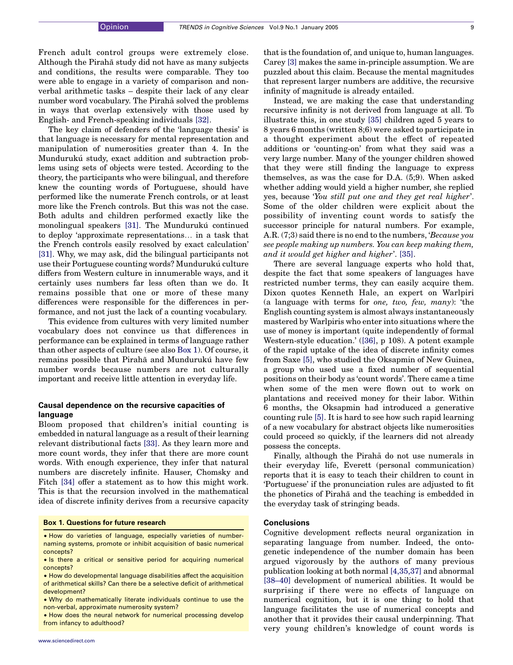French adult control groups were extremely close. Although the Pirahã study did not have as many subjects and conditions, the results were comparable. They too were able to engage in a variety of comparison and nonverbal arithmetic tasks – despite their lack of any clear number word vocabulary. The Pirahã solved the problems in ways that overlap extensively with those used by English- and French-speaking individuals [\[32\].](#page-4-0)

The key claim of defenders of the 'language thesis' is that language is necessary for mental representation and manipulation of numerosities greater than 4. In the Mundurukú study, exact addition and subtraction problems using sets of objects were tested. According to the theory, the participants who were bilingual, and therefore knew the counting words of Portuguese, should have performed like the numerate French controls, or at least more like the French controls. But this was not the case. Both adults and children performed exactly like the monolingual speakers [\[31\].](#page-4-0) The Mundurukú continued to deploy 'approximate representations. in a task that the French controls easily resolved by exact calculation' [\[31\].](#page-4-0) Why, we may ask, did the bilingual participants not use their Portuguese counting words? Mundurukú culture differs from Western culture in innumerable ways, and it certainly uses numbers far less often than we do. It remains possible that one or more of these many differences were responsible for the differences in performance, and not just the lack of a counting vocabulary.

This evidence from cultures with very limited number vocabulary does not convince us that differences in performance can be explained in terms of language rather than other aspects of culture (see also Box 1). Of course, it remains possible that Pirahã and Mundurukú have few number words because numbers are not culturally important and receive little attention in everyday life.

# Causal dependence on the recursive capacities of language

Bloom proposed that children's initial counting is embedded in natural language as a result of their learning relevant distributional facts [\[33\]](#page-4-0). As they learn more and more count words, they infer that there are more count words. With enough experience, they infer that natural numbers are discretely infinite. Hauser, Chomsky and Fitch [\[34\]](#page-4-0) offer a statement as to how this might work. This is that the recursion involved in the mathematical idea of discrete infinity derives from a recursive capacity

#### Box 1. Questions for future research

- † How do varieties of language, especially varieties of numbernaming systems, promote or inhibit acquisition of basic numerical concepts?
- † Is there a critical or sensitive period for acquiring numerical concepts?
- How do developmental language disabilities affect the acquisition of arithmetical skills? Can there be a selective deficit of arithmetical development?
- † Why do mathematically literate individuals continue to use the non-verbal, approximate numerosity system?

• How does the neural network for numerical processing develop from infancy to adulthood?

that is the foundation of, and unique to, human languages. Carey [\[3\]](#page-4-0) makes the same in-principle assumption. We are puzzled about this claim. Because the mental magnitudes that represent larger numbers are additive, the recursive infinity of magnitude is already entailed.

Instead, we are making the case that understanding recursive infinity is not derived from language at all. To illustrate this, in one study [\[35\]](#page-4-0) children aged 5 years to 8 years 6 months (written 8;6) were asked to participate in a thought experiment about the effect of repeated additions or 'counting-on' from what they said was a very large number. Many of the younger children showed that they were still finding the language to express themselves, as was the case for D.A. (5;9). When asked whether adding would yield a higher number, she replied yes, because 'You still put one and they get real higher'. Some of the older children were explicit about the possibility of inventing count words to satisfy the successor principle for natural numbers. For example, A.R. (7;3) said there is no end to the numbers, 'Because you see people making up numbers. You can keep making them, and it would get higher and higher'. [\[35\].](#page-4-0)

There are several language experts who hold that, despite the fact that some speakers of languages have restricted number terms, they can easily acquire them. Dixon quotes Kenneth Hale, an expert on Warlpiri (a language with terms for one, two, few, many): 'the English counting system is almost always instantaneously mastered by Warlpiris who enter into situations where the use of money is important (quite independently of formal Western-style education.' ([\[36\],](#page-4-0) p 108). A potent example of the rapid uptake of the idea of discrete infinity comes from Saxe [\[5\]](#page-4-0), who studied the Oksapmin of New Guinea, a group who used use a fixed number of sequential positions on their body as 'count words'. There came a time when some of the men were flown out to work on plantations and received money for their labor. Within 6 months, the Oksapmin had introduced a generative counting rule [\[5\].](#page-4-0) It is hard to see how such rapid learning of a new vocabulary for abstract objects like numerosities could proceed so quickly, if the learners did not already possess the concepts.

Finally, although the Pirahã do not use numerals in their everyday life, Everett (personal communication) reports that it is easy to teach their children to count in 'Portuguese' if the pronunciation rules are adjusted to fit the phonetics of Pirahã and the teaching is embedded in the everyday task of stringing beads.

#### **Conclusions**

Cognitive development reflects neural organization in separating language from number. Indeed, the ontogenetic independence of the number domain has been argued vigorously by the authors of many previous publication looking at both normal [\[4,35,37\]](#page-4-0) and abnormal [\[38–40\]](#page-4-0) development of numerical abilities. It would be surprising if there were no effects of language on numerical cognition, but it is one thing to hold that language facilitates the use of numerical concepts and another that it provides their causal underpinning. That very young children's knowledge of count words is